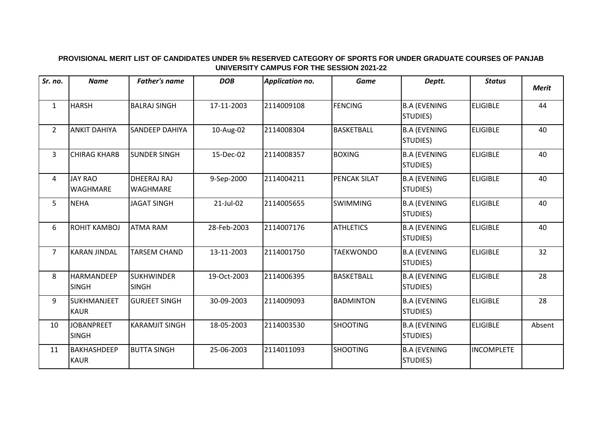## **PROVISIONAL MERIT LIST OF CANDIDATES UNDER 5% RESERVED CATEGORY OF SPORTS FOR UNDER GRADUATE COURSES OF PANJAB UNIVERSITY CAMPUS FOR THE SESSION 2021-22**

| Sr. no.        | <b>Name</b>                       | <b>Father's name</b>           | <b>DOB</b>  | <b>Application no.</b> | <b>Game</b>       | Deptt.                          | <b>Status</b>     | <b>Merit</b> |
|----------------|-----------------------------------|--------------------------------|-------------|------------------------|-------------------|---------------------------------|-------------------|--------------|
| $\mathbf{1}$   | <b>HARSH</b>                      | <b>BALRAJ SINGH</b>            | 17-11-2003  | 2114009108             | <b>FENCING</b>    | <b>B.A (EVENING</b><br>STUDIES) | <b>ELIGIBLE</b>   | 44           |
| $\overline{2}$ | <b>ANKIT DAHIYA</b>               | SANDEEP DAHIYA                 | 10-Aug-02   | 2114008304             | <b>BASKETBALL</b> | <b>B.A (EVENING</b><br>STUDIES) | <b>ELIGIBLE</b>   | 40           |
| $\overline{3}$ | <b>CHIRAG KHARB</b>               | <b>SUNDER SINGH</b>            | 15-Dec-02   | 2114008357             | <b>BOXING</b>     | <b>B.A (EVENING</b><br>STUDIES) | <b>ELIGIBLE</b>   | 40           |
| 4              | <b>JAY RAO</b><br>WAGHMARE        | DHEERAJ RAJ<br><b>WAGHMARE</b> | 9-Sep-2000  | 2114004211             | PENCAK SILAT      | <b>B.A (EVENING</b><br>STUDIES) | <b>ELIGIBLE</b>   | 40           |
| 5              | <b>NEHA</b>                       | <b>JAGAT SINGH</b>             | 21-Jul-02   | 2114005655             | <b>SWIMMING</b>   | <b>B.A (EVENING</b><br>STUDIES) | <b>ELIGIBLE</b>   | 40           |
| 6              | <b>ROHIT KAMBOJ</b>               | <b>ATMA RAM</b>                | 28-Feb-2003 | 2114007176             | <b>ATHLETICS</b>  | <b>B.A (EVENING</b><br>STUDIES) | <b>ELIGIBLE</b>   | 40           |
| $\overline{7}$ | <b>KARAN JINDAL</b>               | <b>TARSEM CHAND</b>            | 13-11-2003  | 2114001750             | <b>TAEKWONDO</b>  | <b>B.A (EVENING</b><br>STUDIES) | <b>ELIGIBLE</b>   | 32           |
| 8              | HARMANDEEP<br><b>SINGH</b>        | SUKHWINDER<br><b>SINGH</b>     | 19-Oct-2003 | 2114006395             | <b>BASKETBALL</b> | <b>B.A (EVENING</b><br>STUDIES) | <b>ELIGIBLE</b>   | 28           |
| 9              | SUKHMANJEET<br><b>KAUR</b>        | <b>GURJEET SINGH</b>           | 30-09-2003  | 2114009093             | <b>BADMINTON</b>  | <b>B.A (EVENING</b><br>STUDIES) | <b>ELIGIBLE</b>   | 28           |
| 10             | <b>JOBANPREET</b><br><b>SINGH</b> | <b>KARAMJIT SINGH</b>          | 18-05-2003  | 2114003530             | <b>SHOOTING</b>   | <b>B.A (EVENING</b><br>STUDIES) | <b>ELIGIBLE</b>   | Absent       |
| 11             | <b>BAKHASHDEEP</b><br><b>KAUR</b> | <b>BUTTA SINGH</b>             | 25-06-2003  | 2114011093             | <b>SHOOTING</b>   | <b>B.A (EVENING</b><br>STUDIES) | <b>INCOMPLETE</b> |              |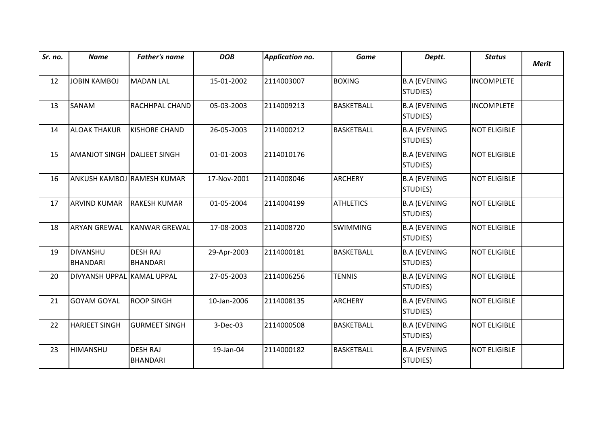| Sr. no. | <b>Name</b>                        | <b>Father's name</b>               | <b>DOB</b>  | <b>Application no.</b> | <b>Game</b>       | Deptt.                                  | <b>Status</b>       | <b>Merit</b> |
|---------|------------------------------------|------------------------------------|-------------|------------------------|-------------------|-----------------------------------------|---------------------|--------------|
|         |                                    |                                    |             |                        |                   |                                         |                     |              |
| 12      | <b>JOBIN KAMBOJ</b>                | MADAN LAL                          | 15-01-2002  | 2114003007             | <b>BOXING</b>     | <b>B.A (EVENING</b><br>STUDIES)         | <b>INCOMPLETE</b>   |              |
| 13      | SANAM                              | RACHHPAL CHAND                     | 05-03-2003  | 2114009213             | <b>BASKETBALL</b> | <b>B.A (EVENING</b><br>STUDIES)         | <b>INCOMPLETE</b>   |              |
| 14      | <b>ALOAK THAKUR</b>                | <b>KISHORE CHAND</b>               | 26-05-2003  | 2114000212             | <b>BASKETBALL</b> | <b>B.A (EVENING</b><br>STUDIES)         | <b>NOT ELIGIBLE</b> |              |
| 15      | AMANJOT SINGH   DALJEET SINGH      |                                    | 01-01-2003  | 2114010176             |                   | <b>B.A (EVENING</b><br>STUDIES)         | <b>NOT ELIGIBLE</b> |              |
| 16      | ANKUSH KAMBOJ RAMESH KUMAR         |                                    | 17-Nov-2001 | 2114008046             | <b>ARCHERY</b>    | <b>B.A (EVENING</b><br>STUDIES)         | <b>NOT ELIGIBLE</b> |              |
| 17      | <b>ARVIND KUMAR</b>                | <b>RAKESH KUMAR</b>                | 01-05-2004  | 2114004199             | <b>ATHLETICS</b>  | <b>B.A (EVENING</b><br>STUDIES)         | <b>NOT ELIGIBLE</b> |              |
| 18      | <b>ARYAN GREWAL</b>                | <b>KANWAR GREWAL</b>               | 17-08-2003  | 2114008720             | SWIMMING          | <b>B.A (EVENING</b><br><b>STUDIES</b> ) | <b>NOT ELIGIBLE</b> |              |
| 19      | <b>DIVANSHU</b><br><b>BHANDARI</b> | <b>DESH RAJ</b><br><b>BHANDARI</b> | 29-Apr-2003 | 2114000181             | <b>BASKETBALL</b> | <b>B.A (EVENING</b><br>STUDIES)         | <b>NOT ELIGIBLE</b> |              |
| 20      | DIVYANSH UPPAL KAMAL UPPAL         |                                    | 27-05-2003  | 2114006256             | <b>TENNIS</b>     | <b>B.A (EVENING</b><br>STUDIES)         | <b>NOT ELIGIBLE</b> |              |
| 21      | <b>GOYAM GOYAL</b>                 | <b>ROOP SINGH</b>                  | 10-Jan-2006 | 2114008135             | <b>ARCHERY</b>    | <b>B.A (EVENING</b><br>STUDIES)         | <b>NOT ELIGIBLE</b> |              |
| 22      | <b>HARJEET SINGH</b>               | <b>GURMEET SINGH</b>               | 3-Dec-03    | 2114000508             | <b>BASKETBALL</b> | <b>B.A (EVENING</b><br>STUDIES)         | <b>NOT ELIGIBLE</b> |              |
| 23      | <b>HIMANSHU</b>                    | <b>DESH RAJ</b><br><b>BHANDARI</b> | 19-Jan-04   | 2114000182             | <b>BASKETBALL</b> | <b>B.A (EVENING</b><br>STUDIES)         | <b>NOT ELIGIBLE</b> |              |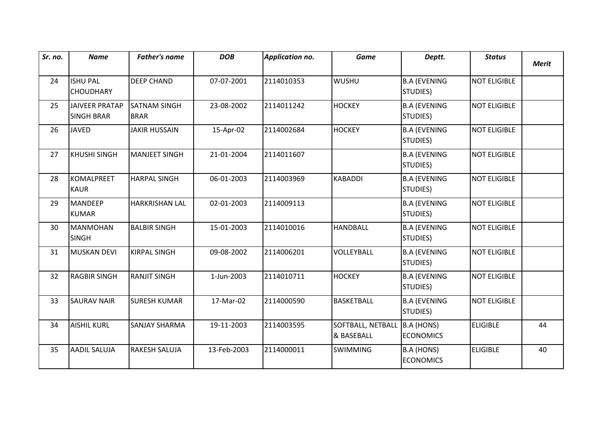| Sr. no. | <b>Name</b>                                | <b>Father's name</b>               | <b>DOB</b>  | <b>Application no.</b> | <b>Game</b>                     | Deptt.                          | <b>Status</b>       | <b>Merit</b> |
|---------|--------------------------------------------|------------------------------------|-------------|------------------------|---------------------------------|---------------------------------|---------------------|--------------|
| 24      | <b>ISHU PAL</b><br><b>CHOUDHARY</b>        | <b>DEEP CHAND</b>                  | 07-07-2001  | 2114010353             | <b>WUSHU</b>                    | <b>B.A (EVENING</b><br>STUDIES) | <b>NOT ELIGIBLE</b> |              |
| 25      | <b>JAIVEER PRATAP</b><br><b>SINGH BRAR</b> | <b>SATNAM SINGH</b><br><b>BRAR</b> | 23-08-2002  | 2114011242             | <b>HOCKEY</b>                   | <b>B.A (EVENING</b><br>STUDIES) | <b>NOT ELIGIBLE</b> |              |
| 26      | <b>JAVED</b>                               | <b>JAKIR HUSSAIN</b>               | 15-Apr-02   | 2114002684             | <b>HOCKEY</b>                   | <b>B.A (EVENING</b><br>STUDIES) | <b>NOT ELIGIBLE</b> |              |
| 27      | KHUSHI SINGH                               | <b>MANJEET SINGH</b>               | 21-01-2004  | 2114011607             |                                 | <b>B.A (EVENING</b><br>STUDIES) | <b>NOT ELIGIBLE</b> |              |
| 28      | KOMALPREET<br><b>KAUR</b>                  | <b>HARPAL SINGH</b>                | 06-01-2003  | 2114003969             | <b>KABADDI</b>                  | <b>B.A (EVENING</b><br>STUDIES) | <b>NOT ELIGIBLE</b> |              |
| 29      | MANDEEP<br><b>KUMAR</b>                    | <b>HARKRISHAN LAL</b>              | 02-01-2003  | 2114009113             |                                 | <b>B.A (EVENING</b><br>STUDIES) | <b>NOT ELIGIBLE</b> |              |
| 30      | <b>MANMOHAN</b><br><b>SINGH</b>            | <b>BALBIR SINGH</b>                | 15-01-2003  | 2114010016             | <b>HANDBALL</b>                 | <b>B.A (EVENING</b><br>STUDIES) | <b>NOT ELIGIBLE</b> |              |
| 31      | MUSKAN DEVI                                | <b>KIRPAL SINGH</b>                | 09-08-2002  | 2114006201             | VOLLEYBALL                      | <b>B.A (EVENING</b><br>STUDIES) | <b>NOT ELIGIBLE</b> |              |
| 32      | <b>RAGBIR SINGH</b>                        | <b>RANJIT SINGH</b>                | 1-Jun-2003  | 2114010711             | <b>HOCKEY</b>                   | <b>B.A (EVENING</b><br>STUDIES) | <b>NOT ELIGIBLE</b> |              |
| 33      | <b>SAURAV NAIR</b>                         | <b>SURESH KUMAR</b>                | 17-Mar-02   | 2114000590             | <b>BASKETBALL</b>               | <b>B.A (EVENING</b><br>STUDIES) | <b>NOT ELIGIBLE</b> |              |
| 34      | <b>AISHIL KURL</b>                         | <b>SANJAY SHARMA</b>               | 19-11-2003  | 2114003595             | SOFTBALL, NETBALL<br>& BASEBALL | B.A (HONS)<br><b>ECONOMICS</b>  | <b>ELIGIBLE</b>     | 44           |
| 35      | <b>AADIL SALUJA</b>                        | <b>RAKESH SALUJA</b>               | 13-Feb-2003 | 2114000011             | <b>SWIMMING</b>                 | B.A (HONS)<br><b>ECONOMICS</b>  | <b>ELIGIBLE</b>     | 40           |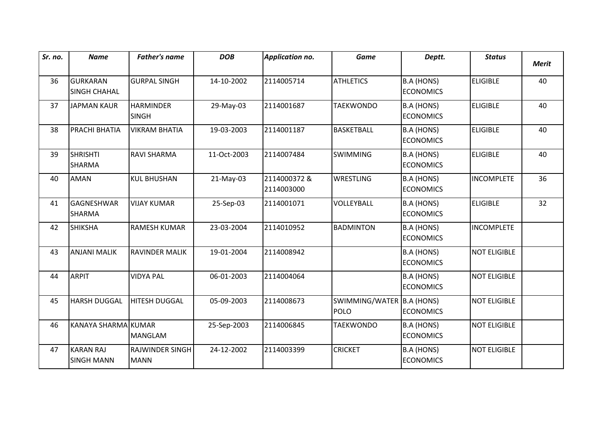| Sr. no. | <b>Name</b>                            | <b>Father's name</b>                  | <b>DOB</b>  | <b>Application no.</b>    | <b>Game</b>                              | Deptt.                                | <b>Status</b>       | <b>Merit</b> |
|---------|----------------------------------------|---------------------------------------|-------------|---------------------------|------------------------------------------|---------------------------------------|---------------------|--------------|
| 36      | <b>GURKARAN</b><br><b>SINGH CHAHAL</b> | <b>GURPAL SINGH</b>                   | 14-10-2002  | 2114005714                | <b>ATHLETICS</b>                         | <b>B.A (HONS)</b><br><b>ECONOMICS</b> | <b>ELIGIBLE</b>     | 40           |
| 37      | <b>JAPMAN KAUR</b>                     | <b>HARMINDER</b><br><b>SINGH</b>      | 29-May-03   | 2114001687                | <b>TAEKWONDO</b>                         | B.A (HONS)<br><b>ECONOMICS</b>        | <b>ELIGIBLE</b>     | 40           |
| 38      | PRACHI BHATIA                          | <b>VIKRAM BHATIA</b>                  | 19-03-2003  | 2114001187                | <b>BASKETBALL</b>                        | <b>B.A (HONS)</b><br><b>ECONOMICS</b> | <b>ELIGIBLE</b>     | 40           |
| 39      | <b>SHRISHTI</b><br><b>SHARMA</b>       | <b>RAVI SHARMA</b>                    | 11-Oct-2003 | 2114007484                | <b>SWIMMING</b>                          | <b>B.A (HONS)</b><br><b>ECONOMICS</b> | <b>ELIGIBLE</b>     | 40           |
| 40      | <b>AMAN</b>                            | <b>KUL BHUSHAN</b>                    | 21-May-03   | 2114000372&<br>2114003000 | <b>WRESTLING</b>                         | <b>B.A (HONS)</b><br><b>ECONOMICS</b> | <b>INCOMPLETE</b>   | 36           |
| 41      | <b>GAGNESHWAR</b><br><b>SHARMA</b>     | <b>VIJAY KUMAR</b>                    | 25-Sep-03   | 2114001071                | VOLLEYBALL                               | <b>B.A (HONS)</b><br><b>ECONOMICS</b> | <b>ELIGIBLE</b>     | 32           |
| 42      | <b>SHIKSHA</b>                         | <b>RAMESH KUMAR</b>                   | 23-03-2004  | 2114010952                | <b>BADMINTON</b>                         | <b>B.A (HONS)</b><br><b>ECONOMICS</b> | <b>INCOMPLETE</b>   |              |
| 43      | <b>ANJANI MALIK</b>                    | <b>RAVINDER MALIK</b>                 | 19-01-2004  | 2114008942                |                                          | B.A (HONS)<br><b>ECONOMICS</b>        | <b>NOT ELIGIBLE</b> |              |
| 44      | <b>ARPIT</b>                           | <b>VIDYA PAL</b>                      | 06-01-2003  | 2114004064                |                                          | <b>B.A (HONS)</b><br><b>ECONOMICS</b> | <b>NOT ELIGIBLE</b> |              |
| 45      | <b>HARSH DUGGAL</b>                    | <b>HITESH DUGGAL</b>                  | 05-09-2003  | 2114008673                | SWIMMING/WATER B.A (HONS)<br><b>POLO</b> | <b>ECONOMICS</b>                      | <b>NOT ELIGIBLE</b> |              |
| 46      | KANAYA SHARMA KUMAR                    | <b>MANGLAM</b>                        | 25-Sep-2003 | 2114006845                | <b>TAEKWONDO</b>                         | B.A (HONS)<br><b>ECONOMICS</b>        | <b>NOT ELIGIBLE</b> |              |
| 47      | <b>KARAN RAJ</b><br><b>SINGH MANN</b>  | <b>RAJWINDER SINGH</b><br><b>MANN</b> | 24-12-2002  | 2114003399                | <b>CRICKET</b>                           | <b>B.A (HONS)</b><br><b>ECONOMICS</b> | <b>NOT ELIGIBLE</b> |              |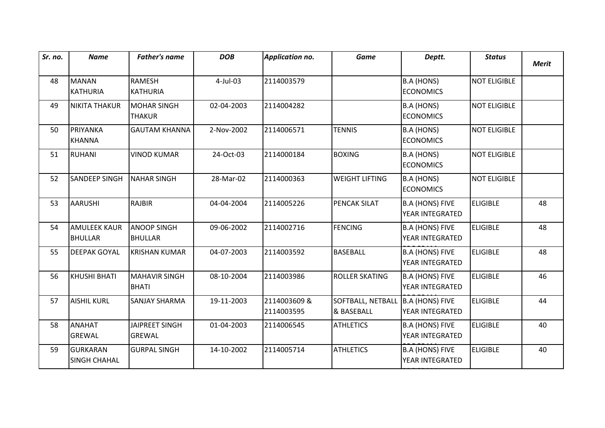| Sr. no. | <b>Name</b>                           | <b>Father's name</b>                   | <b>DOB</b> | <b>Application no.</b>    | <b>Game</b>                     | Deptt.                                    | <b>Status</b>       | <b>Merit</b> |
|---------|---------------------------------------|----------------------------------------|------------|---------------------------|---------------------------------|-------------------------------------------|---------------------|--------------|
| 48      | <b>MANAN</b><br><b>KATHURIA</b>       | <b>RAMESH</b><br><b>KATHURIA</b>       | 4-Jul-03   | 2114003579                |                                 | <b>B.A (HONS)</b><br><b>ECONOMICS</b>     | <b>NOT ELIGIBLE</b> |              |
| 49      | <b>NIKITA THAKUR</b>                  | <b>MOHAR SINGH</b><br><b>THAKUR</b>    | 02-04-2003 | 2114004282                |                                 | <b>B.A (HONS)</b><br><b>ECONOMICS</b>     | <b>NOT ELIGIBLE</b> |              |
| 50      | PRIYANKA<br>KHANNA                    | <b>GAUTAM KHANNA</b>                   | 2-Nov-2002 | 2114006571                | <b>TENNIS</b>                   | <b>B.A (HONS)</b><br><b>ECONOMICS</b>     | <b>NOT ELIGIBLE</b> |              |
| 51      | RUHANI                                | <b>VINOD KUMAR</b>                     | 24-Oct-03  | 2114000184                | <b>BOXING</b>                   | B.A (HONS)<br><b>ECONOMICS</b>            | <b>NOT ELIGIBLE</b> |              |
| 52      | <b>SANDEEP SINGH</b>                  | <b>NAHAR SINGH</b>                     | 28-Mar-02  | 2114000363                | <b>WEIGHT LIFTING</b>           | B.A (HONS)<br><b>ECONOMICS</b>            | <b>NOT ELIGIBLE</b> |              |
| 53      | <b>AARUSHI</b>                        | <b>RAJBIR</b>                          | 04-04-2004 | 2114005226                | PENCAK SILAT                    | <b>B.A (HONS) FIVE</b><br>YEAR INTEGRATED | <b>ELIGIBLE</b>     | 48           |
| 54      | <b>AMULEEK KAUR</b><br><b>BHULLAR</b> | <b>ANOOP SINGH</b><br><b>BHULLAR</b>   | 09-06-2002 | 2114002716                | <b>FENCING</b>                  | <b>B.A (HONS) FIVE</b><br>YEAR INTEGRATED | <b>ELIGIBLE</b>     | 48           |
| 55      | <b>DEEPAK GOYAL</b>                   | <b>KRISHAN KUMAR</b>                   | 04-07-2003 | 2114003592                | <b>BASEBALL</b>                 | <b>B.A (HONS) FIVE</b><br>YEAR INTEGRATED | <b>ELIGIBLE</b>     | 48           |
| 56      | KHUSHI BHATI                          | <b>MAHAVIR SINGH</b><br><b>BHATI</b>   | 08-10-2004 | 2114003986                | <b>ROLLER SKATING</b>           | <b>B.A (HONS) FIVE</b><br>YEAR INTEGRATED | <b>ELIGIBLE</b>     | 46           |
| 57      | <b>AISHIL KURL</b>                    | <b>SANJAY SHARMA</b>                   | 19-11-2003 | 2114003609&<br>2114003595 | SOFTBALL, NETBALL<br>& BASEBALL | B.A (HONS) FIVE<br>YEAR INTEGRATED        | <b>ELIGIBLE</b>     | 44           |
| 58      | ANAHAT<br>GREWAL                      | <b>JAIPREET SINGH</b><br><b>GREWAL</b> | 01-04-2003 | 2114006545                | <b>ATHLETICS</b>                | <b>B.A (HONS) FIVE</b><br>YEAR INTEGRATED | <b>ELIGIBLE</b>     | 40           |
| 59      | GURKARAN<br><b>SINGH CHAHAL</b>       | <b>GURPAL SINGH</b>                    | 14-10-2002 | 2114005714                | <b>ATHLETICS</b>                | <b>B.A (HONS) FIVE</b><br>YEAR INTEGRATED | <b>ELIGIBLE</b>     | 40           |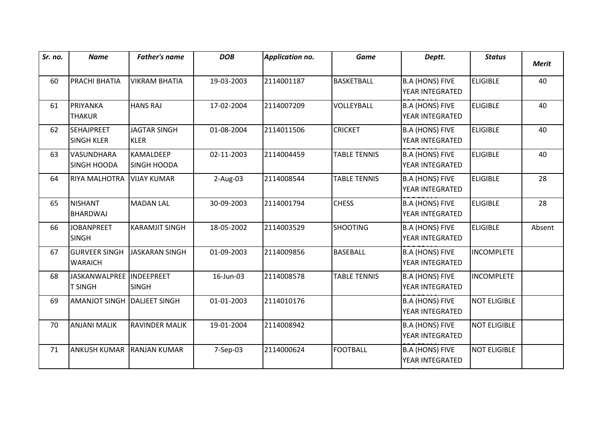| Sr. no. | <b>Name</b>                                 | <b>Father's name</b>               | <b>DOB</b> | <b>Application no.</b> | <b>Game</b>         | Deptt.                                    | <b>Status</b>       | <b>Merit</b> |
|---------|---------------------------------------------|------------------------------------|------------|------------------------|---------------------|-------------------------------------------|---------------------|--------------|
| 60      | <b>PRACHI BHATIA</b>                        | <b>VIKRAM BHATIA</b>               | 19-03-2003 | 2114001187             | <b>BASKETBALL</b>   | <b>B.A (HONS) FIVE</b><br>YEAR INTEGRATED | <b>ELIGIBLE</b>     | 40           |
| 61      | PRIYANKA<br><b>THAKUR</b>                   | <b>HANS RAJ</b>                    | 17-02-2004 | 2114007209             | VOLLEYBALL          | <b>B.A (HONS) FIVE</b><br>YEAR INTEGRATED | <b>ELIGIBLE</b>     | 40           |
| 62      | <b>SEHAJPREET</b><br><b>SINGH KLER</b>      | <b>JAGTAR SINGH</b><br><b>KLER</b> | 01-08-2004 | 2114011506             | <b>CRICKET</b>      | <b>B.A (HONS) FIVE</b><br>YEAR INTEGRATED | <b>ELIGIBLE</b>     | 40           |
| 63      | <b>VASUNDHARA</b><br><b>SINGH HOODA</b>     | KAMALDEEP<br><b>SINGH HOODA</b>    | 02-11-2003 | 2114004459             | <b>TABLE TENNIS</b> | <b>B.A (HONS) FIVE</b><br>YEAR INTEGRATED | <b>ELIGIBLE</b>     | 40           |
| 64      | <b>RIYA MALHOTRA</b>                        | <b>VIJAY KUMAR</b>                 | $2-Aug-03$ | 2114008544             | <b>TABLE TENNIS</b> | <b>B.A (HONS) FIVE</b><br>YEAR INTEGRATED | <b>ELIGIBLE</b>     | 28           |
| 65      | <b>INISHANT</b><br><b>BHARDWAJ</b>          | <b>MADAN LAL</b>                   | 30-09-2003 | 2114001794             | <b>CHESS</b>        | <b>B.A (HONS) FIVE</b><br>YEAR INTEGRATED | <b>ELIGIBLE</b>     | 28           |
| 66      | <b>JOBANPREET</b><br><b>SINGH</b>           | <b>KARAMJIT SINGH</b>              | 18-05-2002 | 2114003529             | <b>SHOOTING</b>     | <b>B.A (HONS) FIVE</b><br>YEAR INTEGRATED | <b>ELIGIBLE</b>     | Absent       |
| 67      | <b>I</b> GURVEER SINGH<br><b>WARAICH</b>    | <b>JASKARAN SINGH</b>              | 01-09-2003 | 2114009856             | <b>BASEBALL</b>     | <b>B.A (HONS) FIVE</b><br>YEAR INTEGRATED | <b>INCOMPLETE</b>   |              |
| 68      | JASKANWALPREE  INDEEPREET<br><b>T SINGH</b> | <b>SINGH</b>                       | 16-Jun-03  | 2114008578             | <b>TABLE TENNIS</b> | <b>B.A (HONS) FIVE</b><br>YEAR INTEGRATED | <b>INCOMPLETE</b>   |              |
| 69      | <b>AMANJOT SINGH</b>                        | DALJEET SINGH                      | 01-01-2003 | 2114010176             |                     | <b>B.A (HONS) FIVE</b><br>YEAR INTEGRATED | <b>NOT ELIGIBLE</b> |              |
| 70      | <b>ANJANI MALIK</b>                         | RAVINDER MALIK                     | 19-01-2004 | 2114008942             |                     | <b>B.A (HONS) FIVE</b><br>YEAR INTEGRATED | <b>NOT ELIGIBLE</b> |              |
| 71      | <b>ANKUSH KUMAR</b>                         | <b>RANJAN KUMAR</b>                | 7-Sep-03   | 2114000624             | <b>FOOTBALL</b>     | <b>B.A (HONS) FIVE</b><br>YEAR INTEGRATED | <b>NOT ELIGIBLE</b> |              |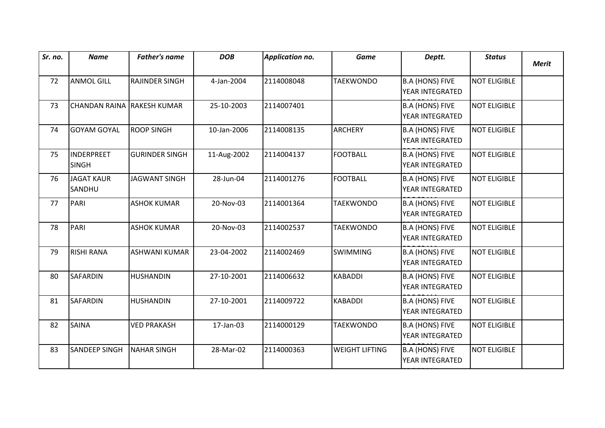| Sr. no. | <b>Name</b>                       | <b>Father's name</b>  | <b>DOB</b>  | Application no. | <b>Game</b>           | Deptt.                                           | <b>Status</b>       | <b>Merit</b> |
|---------|-----------------------------------|-----------------------|-------------|-----------------|-----------------------|--------------------------------------------------|---------------------|--------------|
| 72      | <b>ANMOL GILL</b>                 | <b>RAJINDER SINGH</b> | 4-Jan-2004  | 2114008048      | <b>TAEKWONDO</b>      | <b>B.A (HONS) FIVE</b><br>YEAR INTEGRATED        | <b>NOT ELIGIBLE</b> |              |
| 73      | CHANDAN RAINA RAKESH KUMAR        |                       | 25-10-2003  | 2114007401      |                       | <b>B.A (HONS) FIVE</b><br>YEAR INTEGRATED        | <b>NOT ELIGIBLE</b> |              |
| 74      | <b>GOYAM GOYAL</b>                | <b>ROOP SINGH</b>     | 10-Jan-2006 | 2114008135      | <b>ARCHERY</b>        | <b>B.A (HONS) FIVE</b><br>YEAR INTEGRATED        | <b>NOT ELIGIBLE</b> |              |
| 75      | <b>INDERPREET</b><br><b>SINGH</b> | <b>GURINDER SINGH</b> | 11-Aug-2002 | 2114004137      | <b>FOOTBALL</b>       | <b>B.A (HONS) FIVE</b><br>YEAR INTEGRATED        | <b>NOT ELIGIBLE</b> |              |
| 76      | <b>JAGAT KAUR</b><br>SANDHU       | <b>JAGWANT SINGH</b>  | 28-Jun-04   | 2114001276      | <b>FOOTBALL</b>       | <b>B.A (HONS) FIVE</b><br>YEAR INTEGRATED        | <b>NOT ELIGIBLE</b> |              |
| 77      | PARI                              | <b>ASHOK KUMAR</b>    | 20-Nov-03   | 2114001364      | <b>TAEKWONDO</b>      | <b>B.A (HONS) FIVE</b><br>YEAR INTEGRATED        | <b>NOT ELIGIBLE</b> |              |
| 78      | PARI                              | <b>ASHOK KUMAR</b>    | 20-Nov-03   | 2114002537      | <b>TAEKWONDO</b>      | <b>B.A (HONS) FIVE</b><br>YEAR INTEGRATED        | <b>NOT ELIGIBLE</b> |              |
| 79      | <b>RISHI RANA</b>                 | <b>ASHWANI KUMAR</b>  | 23-04-2002  | 2114002469      | <b>SWIMMING</b>       | <b>B.A (HONS) FIVE</b><br>YEAR INTEGRATED        | <b>NOT ELIGIBLE</b> |              |
| 80      | <b>SAFARDIN</b>                   | <b>HUSHANDIN</b>      | 27-10-2001  | 2114006632      | <b>KABADDI</b>        | <b>B.A (HONS) FIVE</b><br>YEAR INTEGRATED        | <b>NOT ELIGIBLE</b> |              |
| 81      | <b>SAFARDIN</b>                   | <b>HUSHANDIN</b>      | 27-10-2001  | 2114009722      | <b>KABADDI</b>        | <b>B.A (HONS) FIVE</b><br>YEAR INTEGRATED        | <b>NOT ELIGIBLE</b> |              |
| 82      | <b>SAINA</b>                      | <b>VED PRAKASH</b>    | 17-Jan-03   | 2114000129      | <b>TAEKWONDO</b>      | <b>B.A (HONS) FIVE</b><br>YEAR INTEGRATED        | <b>NOT ELIGIBLE</b> |              |
| 83      | <b>SANDEEP SINGH</b>              | <b>NAHAR SINGH</b>    | 28-Mar-02   | 2114000363      | <b>WEIGHT LIFTING</b> | <b>B.A (HONS) FIVE</b><br><b>YEAR INTEGRATED</b> | <b>NOT ELIGIBLE</b> |              |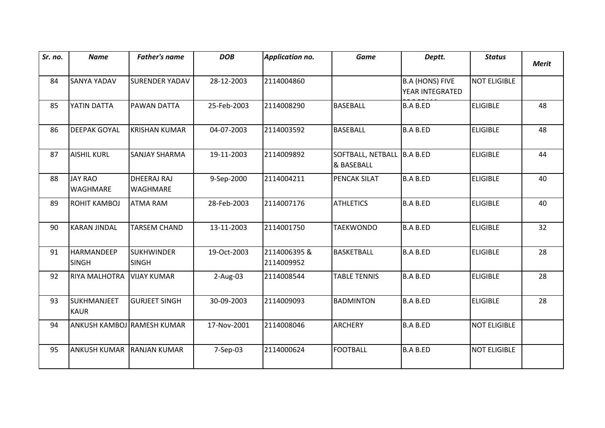| Sr. no. | <b>Name</b>                | <b>Father's name</b>              | <b>DOB</b>  | <b>Application no.</b>     | <b>Game</b>                               | Deptt.                                    | <b>Status</b>       | <b>Merit</b> |
|---------|----------------------------|-----------------------------------|-------------|----------------------------|-------------------------------------------|-------------------------------------------|---------------------|--------------|
| 84      | SANYA YADAV                | <b>SURENDER YADAV</b>             | 28-12-2003  | 2114004860                 |                                           | <b>B.A (HONS) FIVE</b><br>YEAR INTEGRATED | <b>NOT ELIGIBLE</b> |              |
| 85      | YATIN DATTA                | <b>PAWAN DATTA</b>                | 25-Feb-2003 | 2114008290                 | <b>BASEBALL</b>                           | <b>B.A B.ED</b>                           | <b>ELIGIBLE</b>     | 48           |
| 86      | <b>DEEPAK GOYAL</b>        | <b>KRISHAN KUMAR</b>              | 04-07-2003  | 2114003592                 | <b>BASEBALL</b>                           | <b>B.A B.ED</b>                           | <b>ELIGIBLE</b>     | 48           |
| 87      | <b>AISHIL KURL</b>         | <b>SANJAY SHARMA</b>              | 19-11-2003  | 2114009892                 | SOFTBALL, NETBALL  B.A B.ED<br>& BASEBALL |                                           | <b>ELIGIBLE</b>     | 44           |
| 88      | <b>JAY RAO</b><br>WAGHMARE | DHEERAJ RAJ<br><b>WAGHMARE</b>    | 9-Sep-2000  | 2114004211                 | PENCAK SILAT                              | <b>B.A B.ED</b>                           | <b>ELIGIBLE</b>     | 40           |
| 89      | ROHIT KAMBOJ               | <b>ATMA RAM</b>                   | 28-Feb-2003 | 2114007176                 | <b>ATHLETICS</b>                          | <b>B.A B.ED</b>                           | <b>ELIGIBLE</b>     | 40           |
| 90      | <b>KARAN JINDAL</b>        | <b>TARSEM CHAND</b>               | 13-11-2003  | 2114001750                 | <b>TAEKWONDO</b>                          | <b>B.A B.ED</b>                           | <b>ELIGIBLE</b>     | 32           |
| 91      | HARMANDEEP<br><b>SINGH</b> | <b>SUKHWINDER</b><br><b>SINGH</b> | 19-Oct-2003 | 2114006395 &<br>2114009952 | <b>BASKETBALL</b>                         | <b>B.A B.ED</b>                           | <b>ELIGIBLE</b>     | 28           |
| 92      | RIYA MALHOTRA              | <b>VIJAY KUMAR</b>                | $2-Aug-03$  | 2114008544                 | <b>TABLE TENNIS</b>                       | <b>B.A B.ED</b>                           | <b>ELIGIBLE</b>     | 28           |
| 93      | SUKHMANJEET<br><b>KAUR</b> | <b>GURJEET SINGH</b>              | 30-09-2003  | 2114009093                 | <b>BADMINTON</b>                          | <b>B.A B.ED</b>                           | <b>ELIGIBLE</b>     | 28           |
| 94      | ANKUSH KAMBOJ RAMESH KUMAR |                                   | 17-Nov-2001 | 2114008046                 | <b>ARCHERY</b>                            | <b>B.A B.ED</b>                           | <b>NOT ELIGIBLE</b> |              |
| 95      | <b>ANKUSH KUMAR</b>        | <b>IRANJAN KUMAR</b>              | 7-Sep-03    | 2114000624                 | <b>FOOTBALL</b>                           | <b>B.A B.ED</b>                           | <b>NOT ELIGIBLE</b> |              |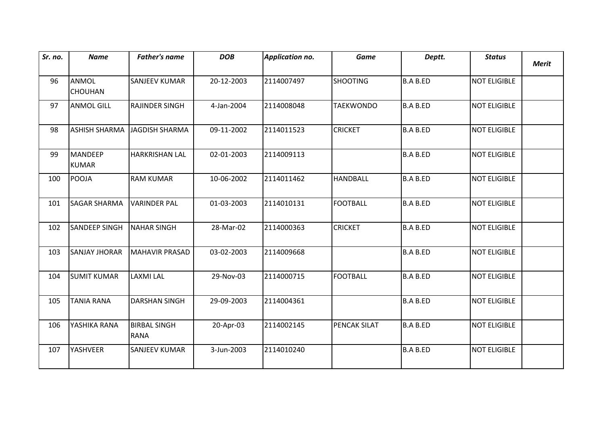| Sr. no. | <b>Name</b>                    | <b>Father's name</b>               | <b>DOB</b> | <b>Application no.</b> | <b>Game</b>      | Deptt.          | <b>Status</b>       | <b>Merit</b> |
|---------|--------------------------------|------------------------------------|------------|------------------------|------------------|-----------------|---------------------|--------------|
| 96      | <b>ANMOL</b><br><b>CHOUHAN</b> | <b>SANJEEV KUMAR</b>               | 20-12-2003 | 2114007497             | <b>SHOOTING</b>  | <b>B.A B.ED</b> | <b>NOT ELIGIBLE</b> |              |
| 97      | <b>ANMOL GILL</b>              | <b>RAJINDER SINGH</b>              | 4-Jan-2004 | 2114008048             | <b>TAEKWONDO</b> | <b>B.A B.ED</b> | <b>NOT ELIGIBLE</b> |              |
| 98      | <b>ASHISH SHARMA</b>           | JAGDISH SHARMA                     | 09-11-2002 | 2114011523             | <b>CRICKET</b>   | <b>B.A B.ED</b> | NOT ELIGIBLE        |              |
| 99      | <b>MANDEEP</b><br><b>KUMAR</b> | <b>HARKRISHAN LAL</b>              | 02-01-2003 | 2114009113             |                  | <b>B.A B.ED</b> | <b>NOT ELIGIBLE</b> |              |
| 100     | POOJA                          | <b>RAM KUMAR</b>                   | 10-06-2002 | 2114011462             | <b>HANDBALL</b>  | <b>B.A B.ED</b> | <b>NOT ELIGIBLE</b> |              |
| 101     | <b>SAGAR SHARMA</b>            | <b>VARINDER PAL</b>                | 01-03-2003 | 2114010131             | <b>FOOTBALL</b>  | <b>B.A B.ED</b> | <b>NOT ELIGIBLE</b> |              |
| 102     | <b>SANDEEP SINGH</b>           | <b>NAHAR SINGH</b>                 | 28-Mar-02  | 2114000363             | <b>CRICKET</b>   | <b>B.A B.ED</b> | NOT ELIGIBLE        |              |
| 103     | <b>SANJAY JHORAR</b>           | MAHAVIR PRASAD                     | 03-02-2003 | 2114009668             |                  | <b>B.A B.ED</b> | <b>NOT ELIGIBLE</b> |              |
| 104     | <b>SUMIT KUMAR</b>             | <b>LAXMI LAL</b>                   | 29-Nov-03  | 2114000715             | <b>FOOTBALL</b>  | <b>B.A B.ED</b> | <b>NOT ELIGIBLE</b> |              |
| 105     | <b>TANIA RANA</b>              | <b>DARSHAN SINGH</b>               | 29-09-2003 | 2114004361             |                  | <b>B.A B.ED</b> | <b>NOT ELIGIBLE</b> |              |
| 106     | YASHIKA RANA                   | <b>BIRBAL SINGH</b><br><b>RANA</b> | 20-Apr-03  | 2114002145             | PENCAK SILAT     | <b>B.A B.ED</b> | <b>NOT ELIGIBLE</b> |              |
| 107     | YASHVEER                       | <b>SANJEEV KUMAR</b>               | 3-Jun-2003 | 2114010240             |                  | <b>B.A B.ED</b> | <b>NOT ELIGIBLE</b> |              |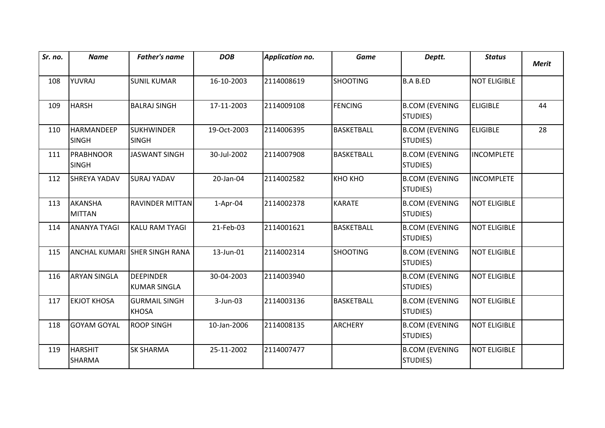| Sr. no. | <b>Name</b>                       | <b>Father's name</b>                    | <b>DOB</b>  | Application no. | <b>Game</b>       | Deptt.                                    | <b>Status</b>       | <b>Merit</b> |
|---------|-----------------------------------|-----------------------------------------|-------------|-----------------|-------------------|-------------------------------------------|---------------------|--------------|
| 108     | YUVRAJ                            | <b>SUNIL KUMAR</b>                      | 16-10-2003  | 2114008619      | <b>SHOOTING</b>   | <b>B.A B.ED</b>                           | <b>NOT ELIGIBLE</b> |              |
| 109     | <b>HARSH</b>                      | <b>BALRAJ SINGH</b>                     | 17-11-2003  | 2114009108      | <b>FENCING</b>    | <b>B.COM (EVENING</b><br>STUDIES)         | <b>ELIGIBLE</b>     | 44           |
| 110     | <b>HARMANDEEP</b><br><b>SINGH</b> | <b>SUKHWINDER</b><br><b>SINGH</b>       | 19-Oct-2003 | 2114006395      | <b>BASKETBALL</b> | <b>B.COM (EVENING</b><br>STUDIES)         | <b>ELIGIBLE</b>     | 28           |
| 111     | <b>PRABHNOOR</b><br><b>SINGH</b>  | <b>JASWANT SINGH</b>                    | 30-Jul-2002 | 2114007908      | <b>BASKETBALL</b> | <b>B.COM (EVENING</b><br>STUDIES)         | <b>INCOMPLETE</b>   |              |
| 112     | <b>SHREYA YADAV</b>               | <b>SURAJ YADAV</b>                      | 20-Jan-04   | 2114002582      | <b>KHO KHO</b>    | <b>B.COM (EVENING</b><br><b>STUDIES</b> ) | <b>INCOMPLETE</b>   |              |
| 113     | <b>AKANSHA</b><br><b>MITTAN</b>   | <b>RAVINDER MITTAN</b>                  | $1-Apr-04$  | 2114002378      | <b>KARATE</b>     | <b>B.COM (EVENING</b><br>STUDIES)         | <b>NOT ELIGIBLE</b> |              |
| 114     | <b>ANANYA TYAGI</b>               | KALU RAM TYAGI                          | 21-Feb-03   | 2114001621      | <b>BASKETBALL</b> | <b>B.COM (EVENING</b><br><b>STUDIES</b> ) | <b>NOT ELIGIBLE</b> |              |
| 115     |                                   | ANCHAL KUMARI SHER SINGH RANA           | 13-Jun-01   | 2114002314      | <b>SHOOTING</b>   | <b>B.COM (EVENING</b><br><b>STUDIES</b> ) | <b>NOT ELIGIBLE</b> |              |
| 116     | <b>ARYAN SINGLA</b>               | <b>DEEPINDER</b><br><b>KUMAR SINGLA</b> | 30-04-2003  | 2114003940      |                   | <b>B.COM (EVENING</b><br>STUDIES)         | <b>NOT ELIGIBLE</b> |              |
| 117     | <b>EKJOT KHOSA</b>                | <b>GURMAIL SINGH</b><br>KHOSA           | 3-Jun-03    | 2114003136      | <b>BASKETBALL</b> | <b>B.COM (EVENING</b><br>STUDIES)         | <b>NOT ELIGIBLE</b> |              |
| 118     | <b>GOYAM GOYAL</b>                | <b>ROOP SINGH</b>                       | 10-Jan-2006 | 2114008135      | <b>ARCHERY</b>    | <b>B.COM (EVENING</b><br>STUDIES)         | <b>NOT ELIGIBLE</b> |              |
| 119     | <b>HARSHIT</b><br><b>SHARMA</b>   | <b>SK SHARMA</b>                        | 25-11-2002  | 2114007477      |                   | <b>B.COM (EVENING</b><br>STUDIES)         | <b>NOT ELIGIBLE</b> |              |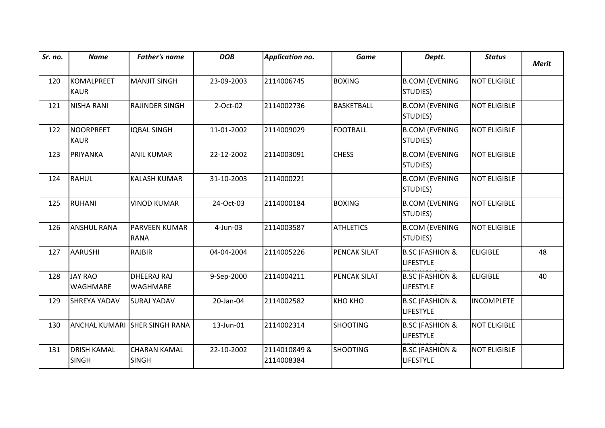| Sr. no. | <b>Name</b>                        | <b>Father's name</b>                | <b>DOB</b> | Application no.            | <b>Game</b>       | Deptt.                                         | <b>Status</b>       | <b>Merit</b> |
|---------|------------------------------------|-------------------------------------|------------|----------------------------|-------------------|------------------------------------------------|---------------------|--------------|
| 120     | <b>KOMALPREET</b><br><b>KAUR</b>   | <b>MANJIT SINGH</b>                 | 23-09-2003 | 2114006745                 | <b>BOXING</b>     | <b>B.COM (EVENING</b><br>STUDIES)              | NOT ELIGIBLE        |              |
| 121     | <b>NISHA RANI</b>                  | <b>RAJINDER SINGH</b>               | 2-Oct-02   | 2114002736                 | <b>BASKETBALL</b> | <b>B.COM (EVENING</b><br>STUDIES)              | <b>NOT ELIGIBLE</b> |              |
| 122     | <b>NOORPREET</b><br><b>KAUR</b>    | <b>IQBAL SINGH</b>                  | 11-01-2002 | 2114009029                 | <b>FOOTBALL</b>   | <b>B.COM (EVENING</b><br>STUDIES)              | <b>NOT ELIGIBLE</b> |              |
| 123     | PRIYANKA                           | <b>ANIL KUMAR</b>                   | 22-12-2002 | 2114003091                 | <b>CHESS</b>      | <b>B.COM (EVENING</b><br>STUDIES)              | <b>NOT ELIGIBLE</b> |              |
| 124     | <b>RAHUL</b>                       | <b>KALASH KUMAR</b>                 | 31-10-2003 | 2114000221                 |                   | <b>B.COM (EVENING</b><br>STUDIES)              | <b>NOT ELIGIBLE</b> |              |
| 125     | <b>RUHANI</b>                      | <b>VINOD KUMAR</b>                  | 24-Oct-03  | 2114000184                 | <b>BOXING</b>     | <b>B.COM (EVENING</b><br>STUDIES)              | <b>NOT ELIGIBLE</b> |              |
| 126     | <b>ANSHUL RANA</b>                 | <b>PARVEEN KUMAR</b><br><b>RANA</b> | 4-Jun-03   | 2114003587                 | <b>ATHLETICS</b>  | <b>B.COM (EVENING</b><br>STUDIES)              | <b>NOT ELIGIBLE</b> |              |
| 127     | <b>AARUSHI</b>                     | <b>RAJBIR</b>                       | 04-04-2004 | 2114005226                 | PENCAK SILAT      | <b>B.SC (FASHION &amp;</b><br><b>LIFESTYLE</b> | <b>ELIGIBLE</b>     | 48           |
| 128     | <b>JAY RAO</b><br><b>WAGHMARE</b>  | DHEERAJ RAJ<br><b>WAGHMARE</b>      | 9-Sep-2000 | 2114004211                 | PENCAK SILAT      | <b>B.SC (FASHION &amp;</b><br><b>LIFESTYLE</b> | <b>ELIGIBLE</b>     | 40           |
| 129     | <b>SHREYA YADAV</b>                | <b>SURAJ YADAV</b>                  | 20-Jan-04  | 2114002582                 | KHO KHO           | <b>B.SC (FASHION &amp;</b><br><b>LIFESTYLE</b> | <b>INCOMPLETE</b>   |              |
| 130     |                                    | ANCHAL KUMARI SHER SINGH RANA       | 13-Jun-01  | 2114002314                 | <b>SHOOTING</b>   | <b>B.SC (FASHION &amp;</b><br><b>LIFESTYLE</b> | <b>NOT ELIGIBLE</b> |              |
| 131     | <b>DRISH KAMAL</b><br><b>SINGH</b> | <b>CHARAN KAMAL</b><br><b>SINGH</b> | 22-10-2002 | 2114010849 &<br>2114008384 | <b>SHOOTING</b>   | <b>B.SC (FASHION &amp;</b><br><b>LIFESTYLE</b> | <b>NOT ELIGIBLE</b> |              |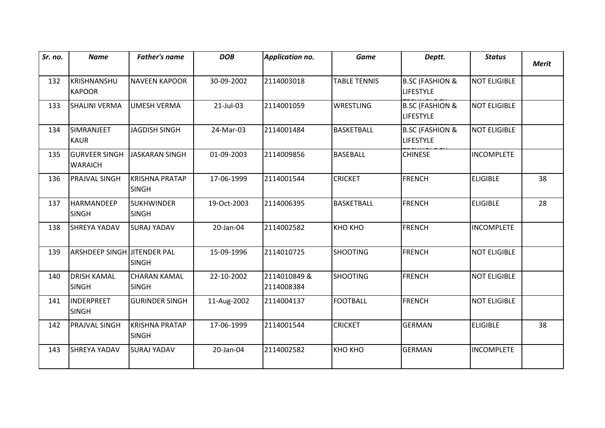| Sr. no. | <b>Name</b>                            | <b>Father's name</b>                  | <b>DOB</b>  | <b>Application no.</b>     | <b>Game</b>         | Deptt.                                         | <b>Status</b>       | <b>Merit</b> |
|---------|----------------------------------------|---------------------------------------|-------------|----------------------------|---------------------|------------------------------------------------|---------------------|--------------|
|         |                                        |                                       |             |                            |                     |                                                |                     |              |
| 132     | KRISHNANSHU<br><b>KAPOOR</b>           | <b>NAVEEN KAPOOR</b>                  | 30-09-2002  | 2114003018                 | <b>TABLE TENNIS</b> | <b>B.SC (FASHION &amp;</b><br><b>LIFESTYLE</b> | <b>NOT ELIGIBLE</b> |              |
| 133     | <b>SHALINI VERMA</b>                   | UMESH VERMA                           | 21-Jul-03   | 2114001059                 | <b>WRESTLING</b>    | <b>B.SC (FASHION &amp;</b><br><b>LIFESTYLE</b> | <b>NOT ELIGIBLE</b> |              |
| 134     | SIMRANJEET<br><b>KAUR</b>              | <b>JAGDISH SINGH</b>                  | 24-Mar-03   | 2114001484                 | <b>BASKETBALL</b>   | <b>B.SC (FASHION &amp;</b><br><b>LIFESTYLE</b> | <b>NOT ELIGIBLE</b> |              |
| 135     | <b>GURVEER SINGH</b><br><b>WARAICH</b> | JASKARAN SINGH                        | 01-09-2003  | 2114009856                 | <b>BASEBALL</b>     | <b>CHINESE</b>                                 | <b>INCOMPLETE</b>   |              |
| 136     | PRAJVAL SINGH                          | KRISHNA PRATAP<br><b>SINGH</b>        | 17-06-1999  | 2114001544                 | <b>CRICKET</b>      | <b>FRENCH</b>                                  | <b>ELIGIBLE</b>     | 38           |
| 137     | <b>HARMANDEEP</b><br><b>SINGH</b>      | <b>SUKHWINDER</b><br><b>SINGH</b>     | 19-Oct-2003 | 2114006395                 | <b>BASKETBALL</b>   | <b>FRENCH</b>                                  | <b>ELIGIBLE</b>     | 28           |
| 138     | <b>SHREYA YADAV</b>                    | <b>SURAJ YADAV</b>                    | 20-Jan-04   | 2114002582                 | KHO KHO             | <b>FRENCH</b>                                  | <b>INCOMPLETE</b>   |              |
| 139     | ARSHDEEP SINGH JITENDER PAL            | <b>SINGH</b>                          | 15-09-1996  | 2114010725                 | <b>SHOOTING</b>     | <b>FRENCH</b>                                  | <b>NOT ELIGIBLE</b> |              |
| 140     | <b>DRISH KAMAL</b><br><b>SINGH</b>     | <b>CHARAN KAMAL</b><br><b>SINGH</b>   | 22-10-2002  | 2114010849 &<br>2114008384 | <b>SHOOTING</b>     | <b>FRENCH</b>                                  | <b>NOT ELIGIBLE</b> |              |
| 141     | <b>INDERPREET</b><br><b>SINGH</b>      | <b>GURINDER SINGH</b>                 | 11-Aug-2002 | 2114004137                 | <b>FOOTBALL</b>     | <b>FRENCH</b>                                  | NOT ELIGIBLE        |              |
| 142     | PRAJVAL SINGH                          | <b>KRISHNA PRATAP</b><br><b>SINGH</b> | 17-06-1999  | 2114001544                 | <b>CRICKET</b>      | <b>GERMAN</b>                                  | <b>ELIGIBLE</b>     | 38           |
| 143     | <b>SHREYA YADAV</b>                    | <b>SURAJ YADAV</b>                    | 20-Jan-04   | 2114002582                 | KHO KHO             | <b>GERMAN</b>                                  | <b>INCOMPLETE</b>   |              |